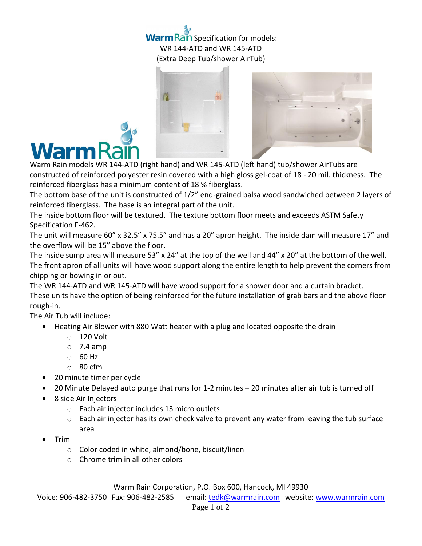## **Warm Rain Specification for models:** WR 144-ATD and WR 145-ATD (Extra Deep Tub/shower AirTub)





Warm Rain models WR 144-ATD (right hand) and WR 145-ATD (left hand) tub/shower AirTubs are constructed of reinforced polyester resin covered with a high gloss gel-coat of 18 - 20 mil. thickness. The reinforced fiberglass has a minimum content of 18 % fiberglass.

The bottom base of the unit is constructed of 1/2" end-grained balsa wood sandwiched between 2 layers of reinforced fiberglass. The base is an integral part of the unit.

The inside bottom floor will be textured. The texture bottom floor meets and exceeds ASTM Safety Specification F-462.

The unit will measure 60" x 32.5" x 75.5" and has a 20" apron height. The inside dam will measure 17" and the overflow will be 15" above the floor.

The inside sump area will measure 53" x 24" at the top of the well and 44" x 20" at the bottom of the well. The front apron of all units will have wood support along the entire length to help prevent the corners from chipping or bowing in or out.

The WR 144-ATD and WR 145-ATD will have wood support for a shower door and a curtain bracket. These units have the option of being reinforced for the future installation of grab bars and the above floor rough-in.

The Air Tub will include:

- Heating Air Blower with 880 Watt heater with a plug and located opposite the drain
	- o 120 Volt
	- $\circ$  7.4 amp
	- $\circ$  60 Hz
	- o 80 cfm
- 20 minute timer per cycle
- 20 Minute Delayed auto purge that runs for 1-2 minutes 20 minutes after air tub is turned off
- 8 side Air Injectors
	- o Each air injector includes 13 micro outlets
	- $\circ$  Each air injector has its own check valve to prevent any water from leaving the tub surface area
- Trim
	- o Color coded in white, almond/bone, biscuit/linen
	- o Chrome trim in all other colors

Warm Rain Corporation, P.O. Box 600, Hancock, MI 49930

Voice: 906-482-3750 Fax: 906-482-2585 email[: tedk@warmrain.com](mailto:tedk@warmrain.com) website: [www.warmrain.com](http://www.warmrain.com/)